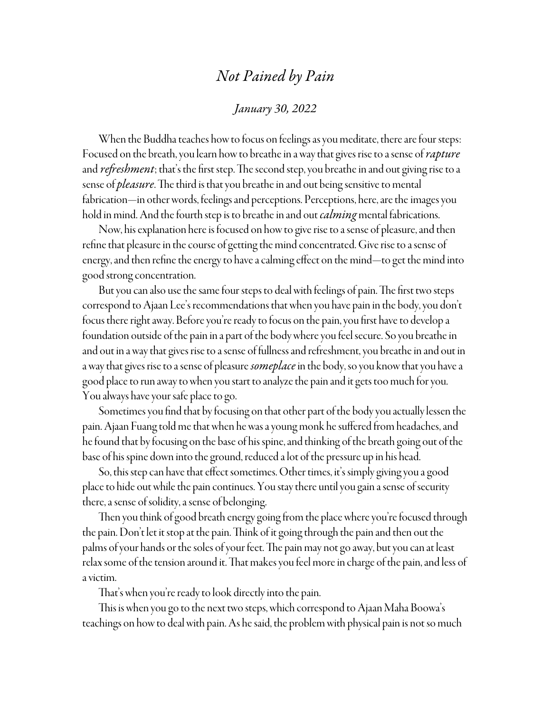## *Not Pained by Pain*

## *January 30, 2022*

When the Buddha teaches how to focus on feelings as you meditate, there are four steps: Focused on the breath, you learn how to breathe in a way that gives rise to a sense of *rapture*  and *refreshment*; that's the first step. The second step, you breathe in and out giving rise to a sense of *pleasure*. The third is that you breathe in and out being sensitive to mental fabrication—in other words, feelings and perceptions. Perceptions, here, are the images you hold in mind. And the fourth step is to breathe in and out *calming* mental fabrications.

Now, his explanation here is focused on how to give rise to a sense of pleasure, and then refine that pleasure in the course of getting the mind concentrated. Give rise to a sense of energy, and then refine the energy to have a calming effect on the mind—to get the mind into good strong concentration.

But you can also use the same four steps to deal with feelings of pain. The first two steps correspond to Ajaan Lee's recommendations that when you have pain in the body, you don't focus there right away. Before you're ready to focus on the pain, you first have to develop a foundation outside of the pain in a part of the body where you feel secure. So you breathe in and out in a way that gives rise to a sense of fullness and refreshment, you breathe in and out in a way that gives rise to a sense of pleasure *someplace* in the body, so you know that you have a good place to run away to when you start to analyze the pain and it gets too much for you. You always have your safe place to go.

Sometimes you find that by focusing on that other part of the body you actually lessen the pain. Ajaan Fuang told me that when he was a young monk he suffered from headaches, and he found that by focusing on the base of his spine, and thinking of the breath going out of the base of his spine down into the ground, reduced a lot of the pressure up in his head.

So, this step can have that effect sometimes. Other times, it's simply giving you a good place to hide out while the pain continues. You stay there until you gain a sense of security there, a sense of solidity, a sense of belonging.

Then you think of good breath energy going from the place where you're focused through the pain. Don't let it stop at the pain. Think of it going through the pain and then out the palms of your hands or the soles of your feet. The pain may not go away, but you can at least relax some of the tension around it. That makes you feel more in charge of the pain, and less of a victim.

That's when you're ready to look directly into the pain.

This is when you go to the next two steps, which correspond to Ajaan Maha Boowa's teachings on how to deal with pain. As he said, the problem with physical pain is not so much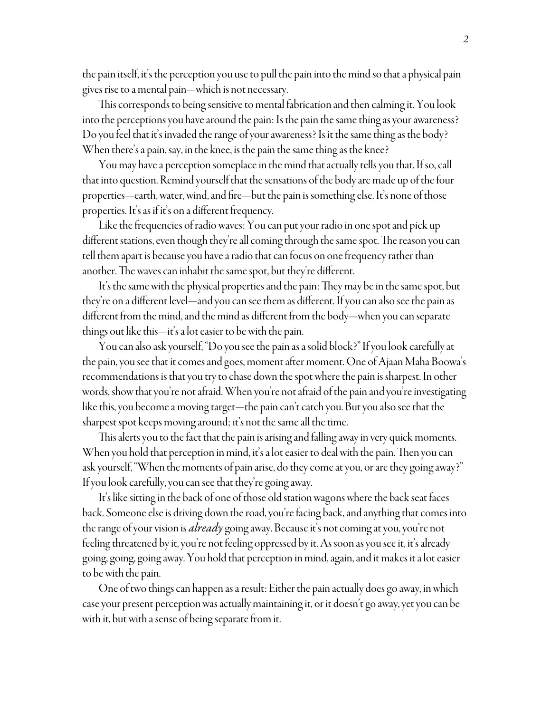the pain itself, it's the perception you use to pull the pain into the mind so that a physical pain gives rise to a mental pain—which is not necessary.

This corresponds to being sensitive to mental fabrication and then calming it. You look into the perceptions you have around the pain: Is the pain the same thing as your awareness? Do you feel that it's invaded the range of your awareness? Is it the same thing as the body? When there's a pain, say, in the knee, is the pain the same thing as the knee?

You may have a perception someplace in the mind that actually tells you that. If so, call that into question. Remind yourself that the sensations of the body are made up of the four properties—earth, water, wind, and fire—but the pain is something else. It's none of those properties. It's as if it's on a different frequency.

Like the frequencies of radio waves: You can put your radio in one spot and pick up different stations, even though they're all coming through the same spot. The reason you can tell them apart is because you have a radio that can focus on one frequency rather than another. The waves can inhabit the same spot, but they're different.

It's the same with the physical properties and the pain: They may be in the same spot, but they're on a different level—and you can see them as different. If you can also see the pain as different from the mind, and the mind as different from the body—when you can separate things out like this—it's a lot easier to be with the pain.

You can also ask yourself, "Do you see the pain as a solid block?" If you look carefully at the pain, you see that it comes and goes, moment after moment. One of Ajaan Maha Boowa's recommendations is that you try to chase down the spot where the pain is sharpest. In other words, show that you're not afraid. When you're not afraid of the pain and you're investigating like this, you become a moving target—the pain can't catch you. But you also see that the sharpest spot keeps moving around; it's not the same all the time.

This alerts you to the fact that the pain is arising and falling away in very quick moments. When you hold that perception in mind, it's a lot easier to deal with the pain. Then you can ask yourself, "When the moments of pain arise, do they come at you, or are they going away?" If you look carefully, you can see that they're going away.

It's like sitting in the back of one of those old station wagons where the back seat faces back. Someone else is driving down the road, you're facing back, and anything that comes into the range of your vision is *already* going away. Because it's not coming at you, you're not feeling threatened by it, you're not feeling oppressed by it. As soon as you see it, it's already going, going, going away. You hold that perception in mind, again, and it makes it a lot easier to be with the pain.

One of two things can happen as a result: Either the pain actually does go away, in which case your present perception was actually maintaining it, or it doesn't go away, yet you can be with it, but with a sense of being separate from it.